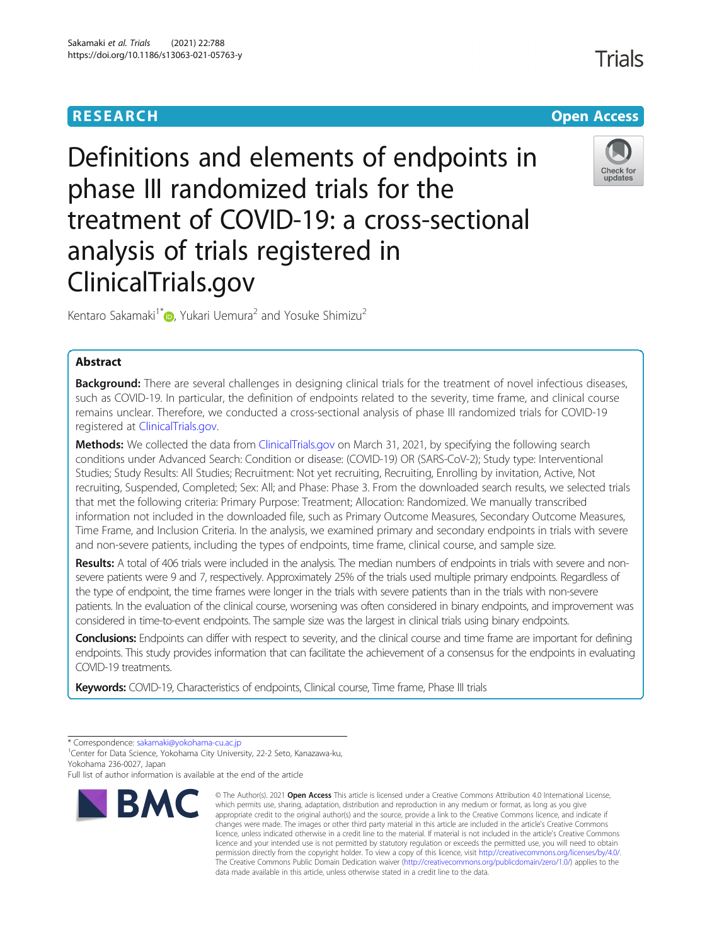# **RESEARCH CHEAR CHEAR CHEAR CHEAR CHEAR CHEAR CHEAR CHEAR CHEAR CHEAR CHEAR CHEAR CHEAR CHEAR CHEAR CHEAR CHEAR**

**Trials** 

Check for updates



# Definitions and elements of endpoints in phase III randomized trials for the treatment of COVID-19: a cross-sectional analysis of trials registered in ClinicalTrials.gov



## Abstract

Background: There are several challenges in designing clinical trials for the treatment of novel infectious diseases, such as COVID-19. In particular, the definition of endpoints related to the severity, time frame, and clinical course remains unclear. Therefore, we conducted a cross-sectional analysis of phase III randomized trials for COVID-19 registered at [ClinicalTrials.gov](http://clinicaltrials.gov).

Methods: We collected the data from [ClinicalTrials.gov](http://clinicaltrials.gov) on March 31, 2021, by specifying the following search conditions under Advanced Search: Condition or disease: (COVID-19) OR (SARS-CoV-2); Study type: Interventional Studies; Study Results: All Studies; Recruitment: Not yet recruiting, Recruiting, Enrolling by invitation, Active, Not recruiting, Suspended, Completed; Sex: All; and Phase: Phase 3. From the downloaded search results, we selected trials that met the following criteria: Primary Purpose: Treatment; Allocation: Randomized. We manually transcribed information not included in the downloaded file, such as Primary Outcome Measures, Secondary Outcome Measures, Time Frame, and Inclusion Criteria. In the analysis, we examined primary and secondary endpoints in trials with severe and non-severe patients, including the types of endpoints, time frame, clinical course, and sample size.

Results: A total of 406 trials were included in the analysis. The median numbers of endpoints in trials with severe and nonsevere patients were 9 and 7, respectively. Approximately 25% of the trials used multiple primary endpoints. Regardless of the type of endpoint, the time frames were longer in the trials with severe patients than in the trials with non-severe patients. In the evaluation of the clinical course, worsening was often considered in binary endpoints, and improvement was considered in time-to-event endpoints. The sample size was the largest in clinical trials using binary endpoints.

Conclusions: Endpoints can differ with respect to severity, and the clinical course and time frame are important for defining endpoints. This study provides information that can facilitate the achievement of a consensus for the endpoints in evaluating COVID-19 treatments.

Keywords: COVID-19, Characteristics of endpoints, Clinical course, Time frame, Phase III trials

Full list of author information is available at the end of the article



<sup>©</sup> The Author(s), 2021 **Open Access** This article is licensed under a Creative Commons Attribution 4.0 International License, which permits use, sharing, adaptation, distribution and reproduction in any medium or format, as long as you give appropriate credit to the original author(s) and the source, provide a link to the Creative Commons licence, and indicate if changes were made. The images or other third party material in this article are included in the article's Creative Commons licence, unless indicated otherwise in a credit line to the material. If material is not included in the article's Creative Commons licence and your intended use is not permitted by statutory regulation or exceeds the permitted use, you will need to obtain permission directly from the copyright holder. To view a copy of this licence, visit [http://creativecommons.org/licenses/by/4.0/.](http://creativecommons.org/licenses/by/4.0/) The Creative Commons Public Domain Dedication waiver [\(http://creativecommons.org/publicdomain/zero/1.0/](http://creativecommons.org/publicdomain/zero/1.0/)) applies to the data made available in this article, unless otherwise stated in a credit line to the data.

<sup>\*</sup> Correspondence: [sakamaki@yokohama-cu.ac.jp](mailto:sakamaki@yokohama-cu.ac.jp) <sup>1</sup>

<sup>&</sup>lt;sup>1</sup> Center for Data Science, Yokohama City University, 22-2 Seto, Kanazawa-ku, Yokohama 236-0027, Japan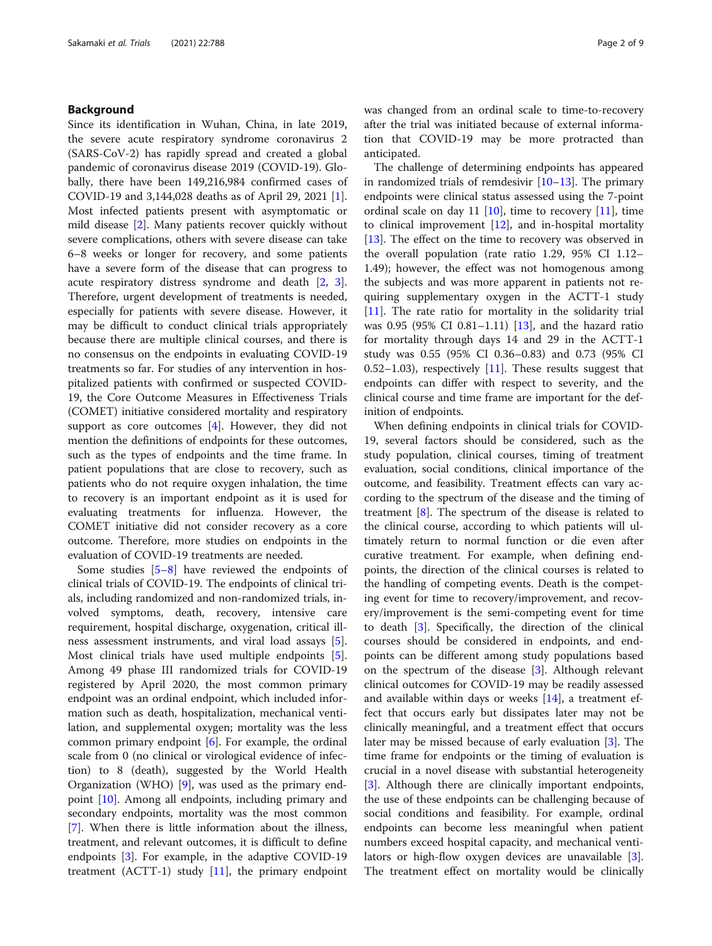## Background

Since its identification in Wuhan, China, in late 2019, the severe acute respiratory syndrome coronavirus 2 (SARS-CoV-2) has rapidly spread and created a global pandemic of coronavirus disease 2019 (COVID-19). Globally, there have been 149,216,984 confirmed cases of COVID-19 and 3,144,028 deaths as of April 29, 2021 [\[1](#page-8-0)]. Most infected patients present with asymptomatic or mild disease [[2\]](#page-8-0). Many patients recover quickly without severe complications, others with severe disease can take 6–8 weeks or longer for recovery, and some patients have a severe form of the disease that can progress to acute respiratory distress syndrome and death [[2,](#page-8-0) [3](#page-8-0)]. Therefore, urgent development of treatments is needed, especially for patients with severe disease. However, it may be difficult to conduct clinical trials appropriately because there are multiple clinical courses, and there is no consensus on the endpoints in evaluating COVID-19 treatments so far. For studies of any intervention in hospitalized patients with confirmed or suspected COVID-19, the Core Outcome Measures in Effectiveness Trials (COMET) initiative considered mortality and respiratory support as core outcomes  $[4]$  $[4]$ . However, they did not mention the definitions of endpoints for these outcomes, such as the types of endpoints and the time frame. In patient populations that are close to recovery, such as patients who do not require oxygen inhalation, the time to recovery is an important endpoint as it is used for evaluating treatments for influenza. However, the COMET initiative did not consider recovery as a core outcome. Therefore, more studies on endpoints in the evaluation of COVID-19 treatments are needed.

Some studies [\[5](#page-8-0)–[8](#page-8-0)] have reviewed the endpoints of clinical trials of COVID-19. The endpoints of clinical trials, including randomized and non-randomized trials, involved symptoms, death, recovery, intensive care requirement, hospital discharge, oxygenation, critical illness assessment instruments, and viral load assays [\[5](#page-8-0)]. Most clinical trials have used multiple endpoints [\[5](#page-8-0)]. Among 49 phase III randomized trials for COVID-19 registered by April 2020, the most common primary endpoint was an ordinal endpoint, which included information such as death, hospitalization, mechanical ventilation, and supplemental oxygen; mortality was the less common primary endpoint [[6\]](#page-8-0). For example, the ordinal scale from 0 (no clinical or virological evidence of infection) to 8 (death), suggested by the World Health Organization (WHO) [\[9](#page-8-0)], was used as the primary endpoint [\[10\]](#page-8-0). Among all endpoints, including primary and secondary endpoints, mortality was the most common [[7\]](#page-8-0). When there is little information about the illness, treatment, and relevant outcomes, it is difficult to define endpoints [[3](#page-8-0)]. For example, in the adaptive COVID-19 treatment (ACTT-1) study [[11](#page-8-0)], the primary endpoint was changed from an ordinal scale to time-to-recovery after the trial was initiated because of external information that COVID-19 may be more protracted than anticipated.

The challenge of determining endpoints has appeared in randomized trials of remdesivir [[10](#page-8-0)–[13](#page-8-0)]. The primary endpoints were clinical status assessed using the 7-point ordinal scale on day [11](#page-8-0)  $[10]$ , time to recovery  $[11]$ , time to clinical improvement [[12](#page-8-0)], and in-hospital mortality [[13\]](#page-8-0). The effect on the time to recovery was observed in the overall population (rate ratio 1.29, 95% CI 1.12– 1.49); however, the effect was not homogenous among the subjects and was more apparent in patients not requiring supplementary oxygen in the ACTT-1 study [[11\]](#page-8-0). The rate ratio for mortality in the solidarity trial was 0.95 (95% CI 0.81–1.11) [[13\]](#page-8-0), and the hazard ratio for mortality through days 14 and 29 in the ACTT-1 study was 0.55 (95% CI 0.36–0.83) and 0.73 (95% CI 0.52–1.03), respectively  $[11]$ . These results suggest that endpoints can differ with respect to severity, and the clinical course and time frame are important for the definition of endpoints.

When defining endpoints in clinical trials for COVID-19, several factors should be considered, such as the study population, clinical courses, timing of treatment evaluation, social conditions, clinical importance of the outcome, and feasibility. Treatment effects can vary according to the spectrum of the disease and the timing of treatment  $[8]$  $[8]$ . The spectrum of the disease is related to the clinical course, according to which patients will ultimately return to normal function or die even after curative treatment. For example, when defining endpoints, the direction of the clinical courses is related to the handling of competing events. Death is the competing event for time to recovery/improvement, and recovery/improvement is the semi-competing event for time to death [\[3](#page-8-0)]. Specifically, the direction of the clinical courses should be considered in endpoints, and endpoints can be different among study populations based on the spectrum of the disease [[3\]](#page-8-0). Although relevant clinical outcomes for COVID-19 may be readily assessed and available within days or weeks [[14\]](#page-8-0), a treatment effect that occurs early but dissipates later may not be clinically meaningful, and a treatment effect that occurs later may be missed because of early evaluation [[3\]](#page-8-0). The time frame for endpoints or the timing of evaluation is crucial in a novel disease with substantial heterogeneity [[3\]](#page-8-0). Although there are clinically important endpoints, the use of these endpoints can be challenging because of social conditions and feasibility. For example, ordinal endpoints can become less meaningful when patient numbers exceed hospital capacity, and mechanical ventilators or high-flow oxygen devices are unavailable [\[3](#page-8-0)]. The treatment effect on mortality would be clinically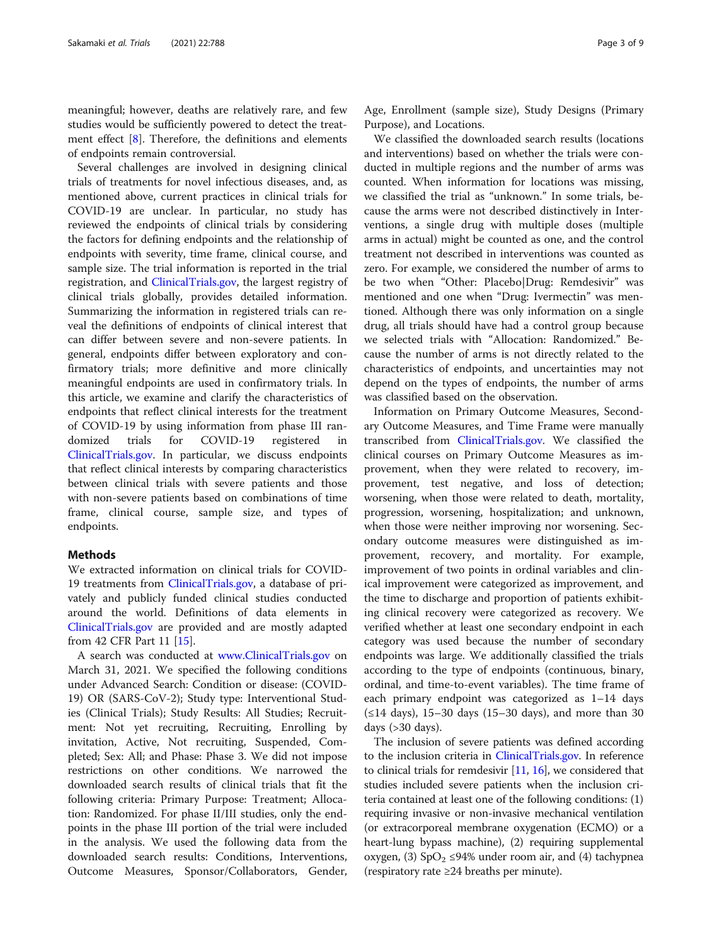meaningful; however, deaths are relatively rare, and few studies would be sufficiently powered to detect the treatment effect [[8\]](#page-8-0). Therefore, the definitions and elements of endpoints remain controversial.

Several challenges are involved in designing clinical trials of treatments for novel infectious diseases, and, as mentioned above, current practices in clinical trials for COVID-19 are unclear. In particular, no study has reviewed the endpoints of clinical trials by considering the factors for defining endpoints and the relationship of endpoints with severity, time frame, clinical course, and sample size. The trial information is reported in the trial registration, and [ClinicalTrials.gov,](http://clinicaltrials.gov) the largest registry of clinical trials globally, provides detailed information. Summarizing the information in registered trials can reveal the definitions of endpoints of clinical interest that can differ between severe and non-severe patients. In general, endpoints differ between exploratory and confirmatory trials; more definitive and more clinically meaningful endpoints are used in confirmatory trials. In this article, we examine and clarify the characteristics of endpoints that reflect clinical interests for the treatment of COVID-19 by using information from phase III randomized trials for COVID-19 registered in [ClinicalTrials.gov.](http://clinicaltrials.gov) In particular, we discuss endpoints that reflect clinical interests by comparing characteristics between clinical trials with severe patients and those with non-severe patients based on combinations of time frame, clinical course, sample size, and types of endpoints.

## Methods

We extracted information on clinical trials for COVID-19 treatments from [ClinicalTrials.gov,](http://clinicaltrials.gov) a database of privately and publicly funded clinical studies conducted around the world. Definitions of data elements in [ClinicalTrials.gov](http://clinicaltrials.gov) are provided and are mostly adapted from 42 CFR Part 11 [[15](#page-8-0)].

A search was conducted at [www.ClinicalTrials.gov](http://www.clinicaltrials.gov) on March 31, 2021. We specified the following conditions under Advanced Search: Condition or disease: (COVID-19) OR (SARS-CoV-2); Study type: Interventional Studies (Clinical Trials); Study Results: All Studies; Recruitment: Not yet recruiting, Recruiting, Enrolling by invitation, Active, Not recruiting, Suspended, Completed; Sex: All; and Phase: Phase 3. We did not impose restrictions on other conditions. We narrowed the downloaded search results of clinical trials that fit the following criteria: Primary Purpose: Treatment; Allocation: Randomized. For phase II/III studies, only the endpoints in the phase III portion of the trial were included in the analysis. We used the following data from the downloaded search results: Conditions, Interventions, Outcome Measures, Sponsor/Collaborators, Gender, Age, Enrollment (sample size), Study Designs (Primary Purpose), and Locations.

We classified the downloaded search results (locations and interventions) based on whether the trials were conducted in multiple regions and the number of arms was counted. When information for locations was missing, we classified the trial as "unknown." In some trials, because the arms were not described distinctively in Interventions, a single drug with multiple doses (multiple arms in actual) might be counted as one, and the control treatment not described in interventions was counted as zero. For example, we considered the number of arms to be two when "Other: Placebo|Drug: Remdesivir" was mentioned and one when "Drug: Ivermectin" was mentioned. Although there was only information on a single drug, all trials should have had a control group because we selected trials with "Allocation: Randomized." Because the number of arms is not directly related to the characteristics of endpoints, and uncertainties may not depend on the types of endpoints, the number of arms was classified based on the observation.

Information on Primary Outcome Measures, Secondary Outcome Measures, and Time Frame were manually transcribed from [ClinicalTrials.gov.](http://clinicaltrials.gov) We classified the clinical courses on Primary Outcome Measures as improvement, when they were related to recovery, improvement, test negative, and loss of detection; worsening, when those were related to death, mortality, progression, worsening, hospitalization; and unknown, when those were neither improving nor worsening. Secondary outcome measures were distinguished as improvement, recovery, and mortality. For example, improvement of two points in ordinal variables and clinical improvement were categorized as improvement, and the time to discharge and proportion of patients exhibiting clinical recovery were categorized as recovery. We verified whether at least one secondary endpoint in each category was used because the number of secondary endpoints was large. We additionally classified the trials according to the type of endpoints (continuous, binary, ordinal, and time-to-event variables). The time frame of each primary endpoint was categorized as 1–14 days  $(\leq 14$  days), 15–30 days (15–30 days), and more than 30 days  $(>30$  days).

The inclusion of severe patients was defined according to the inclusion criteria in *[ClinicalTrials.gov](http://clinicaltrials.gov)*. In reference to clinical trials for remdesivir [[11,](#page-8-0) [16](#page-8-0)], we considered that studies included severe patients when the inclusion criteria contained at least one of the following conditions: (1) requiring invasive or non-invasive mechanical ventilation (or extracorporeal membrane oxygenation (ECMO) or a heart-lung bypass machine), (2) requiring supplemental oxygen, (3)  $SpO<sub>2</sub> \leq 94\%$  under room air, and (4) tachypnea (respiratory rate ≥24 breaths per minute).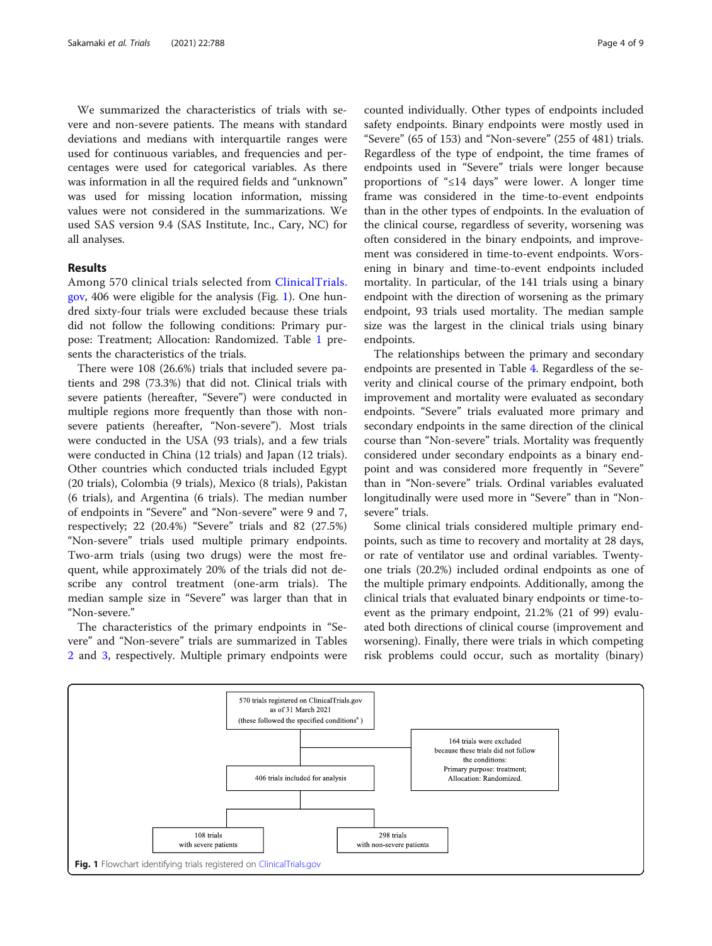We summarized the characteristics of trials with severe and non-severe patients. The means with standard deviations and medians with interquartile ranges were used for continuous variables, and frequencies and percentages were used for categorical variables. As there was information in all the required fields and "unknown" was used for missing location information, missing values were not considered in the summarizations. We used SAS version 9.4 (SAS Institute, Inc., Cary, NC) for all analyses.

## Results

Among 570 clinical trials selected from [ClinicalTrials.](http://clinicaltrials.gov) [gov](http://clinicaltrials.gov), 406 were eligible for the analysis (Fig. 1). One hundred sixty-four trials were excluded because these trials did not follow the following conditions: Primary purpose: Treatment; Allocation: Randomized. Table [1](#page-4-0) presents the characteristics of the trials.

There were 108 (26.6%) trials that included severe patients and 298 (73.3%) that did not. Clinical trials with severe patients (hereafter, "Severe") were conducted in multiple regions more frequently than those with nonsevere patients (hereafter, "Non-severe"). Most trials were conducted in the USA (93 trials), and a few trials were conducted in China (12 trials) and Japan (12 trials). Other countries which conducted trials included Egypt (20 trials), Colombia (9 trials), Mexico (8 trials), Pakistan (6 trials), and Argentina (6 trials). The median number of endpoints in "Severe" and "Non-severe" were 9 and 7, respectively; 22 (20.4%) "Severe" trials and 82 (27.5%) "Non-severe" trials used multiple primary endpoints. Two-arm trials (using two drugs) were the most frequent, while approximately 20% of the trials did not describe any control treatment (one-arm trials). The median sample size in "Severe" was larger than that in "Non-severe."

The characteristics of the primary endpoints in "Severe" and "Non-severe" trials are summarized in Tables [2](#page-5-0) and [3](#page-5-0), respectively. Multiple primary endpoints were counted individually. Other types of endpoints included safety endpoints. Binary endpoints were mostly used in "Severe" (65 of 153) and "Non-severe" (255 of 481) trials. Regardless of the type of endpoint, the time frames of endpoints used in "Severe" trials were longer because proportions of "≤14 days" were lower. A longer time frame was considered in the time-to-event endpoints than in the other types of endpoints. In the evaluation of the clinical course, regardless of severity, worsening was often considered in the binary endpoints, and improvement was considered in time-to-event endpoints. Worsening in binary and time-to-event endpoints included mortality. In particular, of the 141 trials using a binary endpoint with the direction of worsening as the primary endpoint, 93 trials used mortality. The median sample size was the largest in the clinical trials using binary endpoints.

The relationships between the primary and secondary endpoints are presented in Table [4](#page-6-0). Regardless of the severity and clinical course of the primary endpoint, both improvement and mortality were evaluated as secondary endpoints. "Severe" trials evaluated more primary and secondary endpoints in the same direction of the clinical course than "Non-severe" trials. Mortality was frequently considered under secondary endpoints as a binary endpoint and was considered more frequently in "Severe" than in "Non-severe" trials. Ordinal variables evaluated longitudinally were used more in "Severe" than in "Nonsevere" trials.

Some clinical trials considered multiple primary endpoints, such as time to recovery and mortality at 28 days, or rate of ventilator use and ordinal variables. Twentyone trials (20.2%) included ordinal endpoints as one of the multiple primary endpoints. Additionally, among the clinical trials that evaluated binary endpoints or time-toevent as the primary endpoint, 21.2% (21 of 99) evaluated both directions of clinical course (improvement and worsening). Finally, there were trials in which competing risk problems could occur, such as mortality (binary)

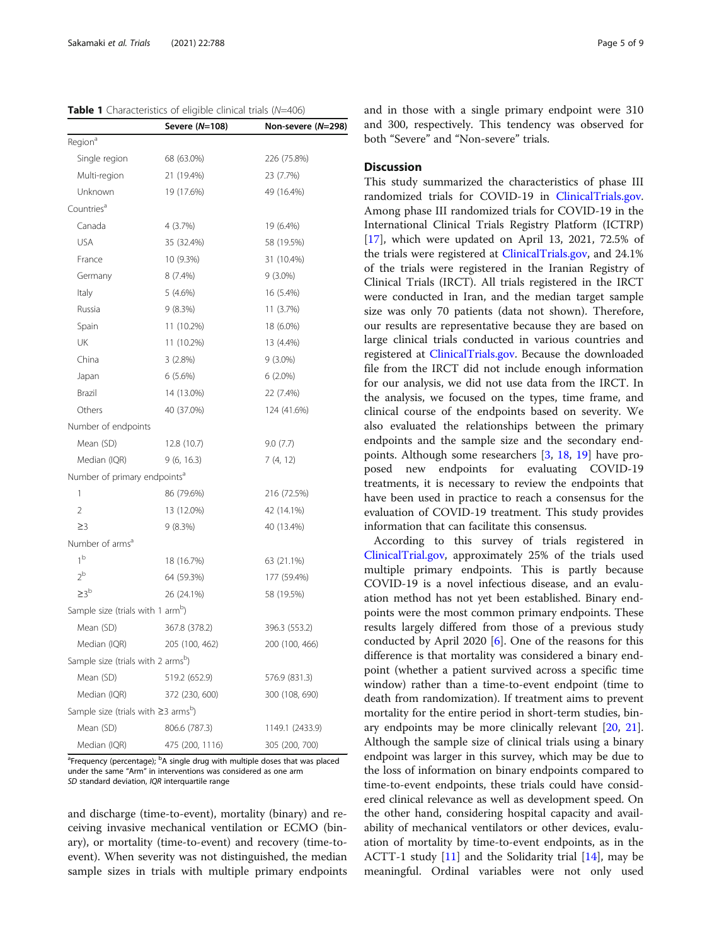<span id="page-4-0"></span>

|                                                       | Severe (N=108)  | Non-severe (N=298) |  |
|-------------------------------------------------------|-----------------|--------------------|--|
| Region <sup>a</sup>                                   |                 |                    |  |
| Single region                                         | 68 (63.0%)      | 226 (75.8%)        |  |
| Multi-region                                          | 21 (19.4%)      | 23 (7.7%)          |  |
| Unknown                                               | 19 (17.6%)      | 49 (16.4%)         |  |
| Countries <sup>a</sup>                                |                 |                    |  |
| Canada                                                | 4 (3.7%)        | 19 (6.4%)          |  |
| <b>USA</b>                                            | 35 (32.4%)      | 58 (19.5%)         |  |
| France                                                | 10 (9.3%)       | 31 (10.4%)         |  |
| Germany                                               | 8(7.4%)         | $9(3.0\%)$         |  |
| Italy                                                 | 5(4.6%)         | 16 (5.4%)          |  |
| Russia                                                | 9(8.3%)         | 11 (3.7%)          |  |
| Spain                                                 | 11 (10.2%)      | 18 (6.0%)          |  |
| UK                                                    | 11 (10.2%)      | 13 (4.4%)          |  |
| China                                                 | 3(2.8%)         | $9(3.0\%)$         |  |
| Japan                                                 | 6(5.6%)         | 6 (2.0%)           |  |
| Brazil                                                | 14 (13.0%)      | 22 (7.4%)          |  |
| Others                                                | 40 (37.0%)      | 124 (41.6%)        |  |
| Number of endpoints                                   |                 |                    |  |
| Mean (SD)                                             | 12.8 (10.7)     | 9.0(7.7)           |  |
| Median (IQR)                                          | 9(6, 16.3)      | 7 (4, 12)          |  |
| Number of primary endpoints <sup>a</sup>              |                 |                    |  |
| 1                                                     | 86 (79.6%)      | 216 (72.5%)        |  |
| $\overline{2}$                                        | 13 (12.0%)      | 42 (14.1%)         |  |
| $\geq$ 3                                              | 9 (8.3%)        | 40 (13.4%)         |  |
| Number of arms <sup>a</sup>                           |                 |                    |  |
| 1 <sup>b</sup>                                        | 18 (16.7%)      | 63 (21.1%)         |  |
| $2^{b}$                                               | 64 (59.3%)      | 177 (59.4%)        |  |
| >3 <sup>b</sup>                                       | 26 (24.1%)      | 58 (19.5%)         |  |
| Sample size (trials with 1 arm <sup>b</sup> )         |                 |                    |  |
| Mean (SD)                                             | 367.8 (378.2)   | 396.3 (553.2)      |  |
| Median (IQR)                                          | 205 (100, 462)  | 200 (100, 466)     |  |
| Sample size (trials with 2 armsb)                     |                 |                    |  |
| Mean (SD)                                             | 519.2 (652.9)   | 576.9 (831.3)      |  |
| Median (IQR)                                          | 372 (230, 600)  | 300 (108, 690)     |  |
| Sample size (trials with $\geq$ 3 arms <sup>b</sup> ) |                 |                    |  |
| Mean (SD)                                             | 806.6 (787.3)   | 1149.1 (2433.9)    |  |
| Median (IQR)                                          | 475 (200, 1116) | 305 (200, 700)     |  |

<sup>a</sup>Frequency (percentage); <sup>b</sup>A single drug with multiple doses that was placed under the same "Arm" in interventions was considered as one arm SD standard deviation, IQR interquartile range

and discharge (time-to-event), mortality (binary) and receiving invasive mechanical ventilation or ECMO (binary), or mortality (time-to-event) and recovery (time-toevent). When severity was not distinguished, the median sample sizes in trials with multiple primary endpoints and in those with a single primary endpoint were 310 and 300, respectively. This tendency was observed for both "Severe" and "Non-severe" trials.

## **Discussion**

This study summarized the characteristics of phase III randomized trials for COVID-19 in [ClinicalTrials.gov](http://clinicaltrials.gov). Among phase III randomized trials for COVID-19 in the International Clinical Trials Registry Platform (ICTRP) [[17\]](#page-8-0), which were updated on April 13, 2021, 72.5% of the trials were registered at [ClinicalTrials.gov](http://clinicaltrials.gov), and 24.1% of the trials were registered in the Iranian Registry of Clinical Trials (IRCT). All trials registered in the IRCT were conducted in Iran, and the median target sample size was only 70 patients (data not shown). Therefore, our results are representative because they are based on large clinical trials conducted in various countries and registered at [ClinicalTrials.gov.](http://clinicaltrials.gov) Because the downloaded file from the IRCT did not include enough information for our analysis, we did not use data from the IRCT. In the analysis, we focused on the types, time frame, and clinical course of the endpoints based on severity. We also evaluated the relationships between the primary endpoints and the sample size and the secondary endpoints. Although some researchers [[3,](#page-8-0) [18](#page-8-0), [19\]](#page-8-0) have proposed new endpoints for evaluating COVID-19 treatments, it is necessary to review the endpoints that have been used in practice to reach a consensus for the evaluation of COVID-19 treatment. This study provides information that can facilitate this consensus.

According to this survey of trials registered in [ClinicalTrial.gov](http://clinicaltrial.gov), approximately 25% of the trials used multiple primary endpoints. This is partly because COVID-19 is a novel infectious disease, and an evaluation method has not yet been established. Binary endpoints were the most common primary endpoints. These results largely differed from those of a previous study conducted by April 2020 [[6](#page-8-0)]. One of the reasons for this difference is that mortality was considered a binary endpoint (whether a patient survived across a specific time window) rather than a time-to-event endpoint (time to death from randomization). If treatment aims to prevent mortality for the entire period in short-term studies, binary endpoints may be more clinically relevant [\[20,](#page-8-0) [21](#page-8-0)]. Although the sample size of clinical trials using a binary endpoint was larger in this survey, which may be due to the loss of information on binary endpoints compared to time-to-event endpoints, these trials could have considered clinical relevance as well as development speed. On the other hand, considering hospital capacity and availability of mechanical ventilators or other devices, evaluation of mortality by time-to-event endpoints, as in the ACTT-1 study [\[11](#page-8-0)] and the Solidarity trial [[14](#page-8-0)], may be meaningful. Ordinal variables were not only used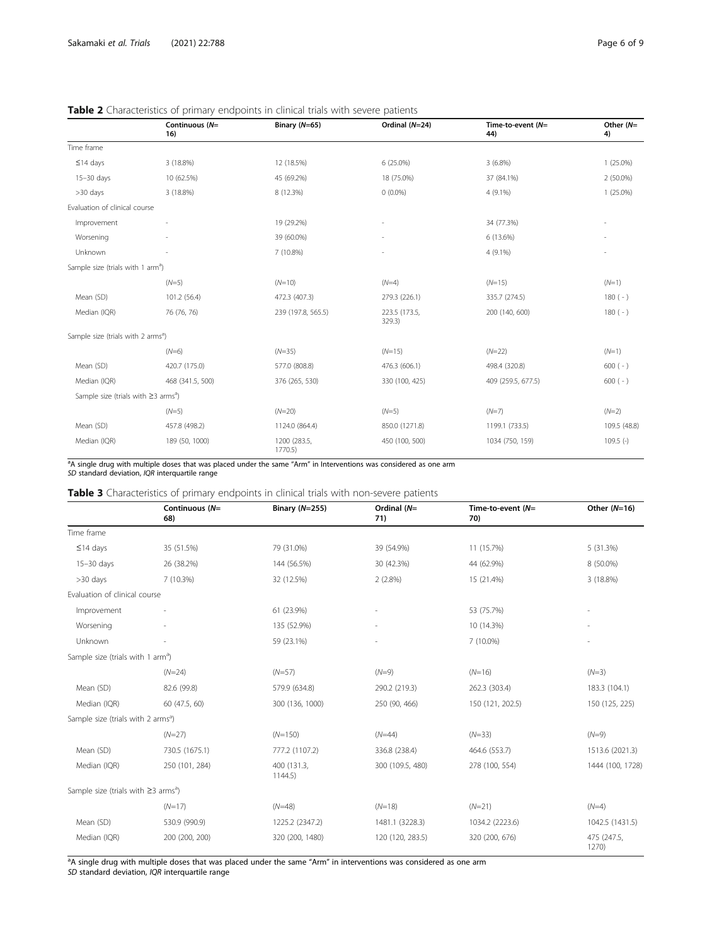|                                                       | Continuous (N=<br>16) | Binary (N=65)           | Ordinal (N=24)          | Time-to-event (N=<br>44) | Other $(N=$<br>4) |
|-------------------------------------------------------|-----------------------|-------------------------|-------------------------|--------------------------|-------------------|
| Time frame                                            |                       |                         |                         |                          |                   |
| $\leq$ 14 days                                        | 3 (18.8%)             | 12 (18.5%)              | 6 (25.0%)               | $3(6.8\%)$               | $1(25.0\%)$       |
| 15-30 days                                            | 10 (62.5%)            | 45 (69.2%)              | 18 (75.0%)              | 37 (84.1%)               | 2 (50.0%)         |
| $>30$ days                                            | 3 (18.8%)             | 8 (12.3%)               | $0(0.0\%)$              | 4 (9.1%)                 | $1(25.0\%)$       |
| Evaluation of clinical course                         |                       |                         |                         |                          |                   |
| Improvement                                           |                       | 19 (29.2%)              |                         | 34 (77.3%)               |                   |
| Worsening                                             |                       | 39 (60.0%)              |                         | 6 (13.6%)                |                   |
| Unknown                                               |                       | 7 (10.8%)               |                         | 4 (9.1%)                 |                   |
| Sample size (trials with 1 arm <sup>a</sup> )         |                       |                         |                         |                          |                   |
|                                                       | $(N=5)$               | $(N=10)$                | $(N=4)$                 | $(N=15)$                 | $(N=1)$           |
| Mean (SD)                                             | 101.2 (56.4)          | 472.3 (407.3)           | 279.3 (226.1)           | 335.7 (274.5)            | $180(-)$          |
| Median (IQR)                                          | 76 (76, 76)           | 239 (197.8, 565.5)      | 223.5 (173.5,<br>329.3) | 200 (140, 600)           | $180(-)$          |
| Sample size (trials with 2 arms <sup>a</sup> )        |                       |                         |                         |                          |                   |
|                                                       | $(N=6)$               | $(N=35)$                | $(N=15)$                | $(N=22)$                 | $(N=1)$           |
| Mean (SD)                                             | 420.7 (175.0)         | 577.0 (808.8)           | 476.3 (606.1)           | 498.4 (320.8)            | $600 (-)$         |
| Median (IQR)                                          | 468 (341.5, 500)      | 376 (265, 530)          | 330 (100, 425)          | 409 (259.5, 677.5)       | $600 (-)$         |
| Sample size (trials with $\geq$ 3 arms <sup>a</sup> ) |                       |                         |                         |                          |                   |
|                                                       | $(N=5)$               | $(N=20)$                | $(N=5)$                 | $(N=7)$                  | $(N=2)$           |
| Mean (SD)                                             | 457.8 (498.2)         | 1124.0 (864.4)          | 850.0 (1271.8)          | 1199.1 (733.5)           | 109.5 (48.8)      |
| Median (IQR)                                          | 189 (50, 1000)        | 1200 (283.5,<br>1770.5) | 450 (100, 500)          | 1034 (750, 159)          | $109.5$ (-)       |

## <span id="page-5-0"></span>Table 2 Characteristics of primary endpoints in clinical trials with severe patients

a A single drug with multiple doses that was placed under the same "Arm" in Interventions was considered as one arm SD standard deviation, IQR interquartile range

Table 3 Characteristics of primary endpoints in clinical trials with non-severe patients

|                                                       | Continuous (N=<br>68) | <b>Binary (N=255)</b>  | Ordinal (N=<br>71)       | Time-to-event $(N=$<br>70) | Other $(N=16)$       |  |
|-------------------------------------------------------|-----------------------|------------------------|--------------------------|----------------------------|----------------------|--|
| Time frame                                            |                       |                        |                          |                            |                      |  |
| $≤14$ days                                            | 35 (51.5%)            | 79 (31.0%)             | 39 (54.9%)<br>11 (15.7%) |                            | 5 (31.3%)            |  |
| 15-30 days                                            | 26 (38.2%)            | 144 (56.5%)            | 30 (42.3%)               | 44 (62.9%)                 | 8 (50.0%)            |  |
| $>30$ days                                            | 7 (10.3%)             | 32 (12.5%)             | 2(2.8%)                  | 15 (21.4%)                 | 3 (18.8%)            |  |
| Evaluation of clinical course                         |                       |                        |                          |                            |                      |  |
| Improvement                                           |                       | 61 (23.9%)             |                          | 53 (75.7%)                 |                      |  |
| Worsening                                             |                       | 135 (52.9%)            |                          | 10 (14.3%)                 |                      |  |
| Unknown                                               |                       | 59 (23.1%)             |                          | 7 (10.0%)                  |                      |  |
| Sample size (trials with 1 arm <sup>a</sup> )         |                       |                        |                          |                            |                      |  |
|                                                       | $(N=24)$              | $(N=57)$               | $(N=9)$                  | $(N=16)$                   | $(N=3)$              |  |
| Mean (SD)                                             | 82.6 (99.8)           | 579.9 (634.8)          | 290.2 (219.3)            | 262.3 (303.4)              | 183.3 (104.1)        |  |
| Median (IQR)                                          | 60 (47.5, 60)         | 300 (136, 1000)        | 250 (90, 466)            | 150 (121, 202.5)           | 150 (125, 225)       |  |
| Sample size (trials with 2 arms <sup>a</sup> )        |                       |                        |                          |                            |                      |  |
|                                                       | $(N=27)$              | $(N=150)$              | $(N=44)$                 | $(N=33)$                   | $(N=9)$              |  |
| Mean (SD)                                             | 730.5 (1675.1)        | 777.2 (1107.2)         | 336.8 (238.4)            | 464.6 (553.7)              | 1513.6 (2021.3)      |  |
| Median (IQR)                                          | 250 (101, 284)        | 400 (131.3,<br>1144.5) | 300 (109.5, 480)         | 278 (100, 554)             | 1444 (100, 1728)     |  |
| Sample size (trials with $\geq$ 3 arms <sup>a</sup> ) |                       |                        |                          |                            |                      |  |
|                                                       | $(N=17)$              | $(N=48)$               | $(N=18)$                 | $(N=21)$                   | $(N=4)$              |  |
| Mean (SD)                                             | 530.9 (990.9)         | 1225.2 (2347.2)        | 1481.1 (3228.3)          | 1034.2 (2223.6)            | 1042.5 (1431.5)      |  |
| Median (IQR)                                          | 200 (200, 200)        | 320 (200, 1480)        | 120 (120, 283.5)         | 320 (200, 676)             | 475 (247.5,<br>1270) |  |

<sup>a</sup>A single drug with multiple doses that was placed under the same "Arm" in interventions was considered as one arm<br>*SD* standard deviation, IQR interquartile range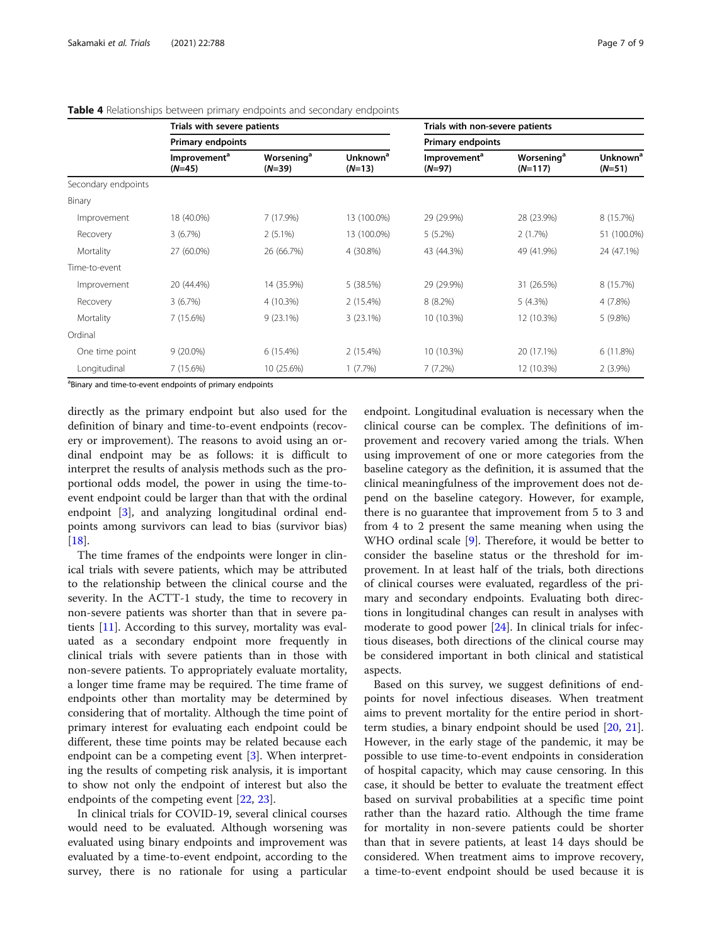|                     | Trials with severe patients<br><b>Primary endpoints</b> |                                          |                                  | Trials with non-severe patients      |                                     |                                  |
|---------------------|---------------------------------------------------------|------------------------------------------|----------------------------------|--------------------------------------|-------------------------------------|----------------------------------|
|                     |                                                         |                                          |                                  | <b>Primary endpoints</b>             |                                     |                                  |
|                     | Improvement <sup>a</sup><br>$(N=45)$                    | <b>Worsening<sup>a</sup></b><br>$(N=39)$ | Unknown <sup>a</sup><br>$(N=13)$ | Improvement <sup>a</sup><br>$(N=97)$ | Worsening <sup>a</sup><br>$(N=117)$ | Unknown <sup>a</sup><br>$(N=51)$ |
| Secondary endpoints |                                                         |                                          |                                  |                                      |                                     |                                  |
| Binary              |                                                         |                                          |                                  |                                      |                                     |                                  |
| Improvement         | 18 (40.0%)                                              | 7 (17.9%)                                | 13 (100.0%)                      | 29 (29.9%)                           | 28 (23.9%)                          | 8 (15.7%)                        |
| Recovery            | 3(6.7%)                                                 | $2(5.1\%)$                               | 13 (100.0%)                      | $5(5.2\%)$                           | 2(1.7%)                             | 51 (100.0%)                      |
| Mortality           | 27 (60.0%)                                              | 26 (66.7%)                               | 4 (30.8%)                        | 43 (44.3%)                           | 49 (41.9%)                          | 24 (47.1%)                       |
| Time-to-event       |                                                         |                                          |                                  |                                      |                                     |                                  |
| Improvement         | 20 (44.4%)                                              | 14 (35.9%)                               | 5 (38.5%)                        | 29 (29.9%)                           | 31 (26.5%)                          | 8 (15.7%)                        |
| Recovery            | 3(6.7%)                                                 | 4 (10.3%)                                | 2(15.4%)                         | 8(8.2%)                              | $5(4.3\%)$                          | 4 (7.8%)                         |
| Mortality           | 7 (15.6%)                                               | $9(23.1\%)$                              | $3(23.1\%)$                      | 10 (10.3%)                           | 12 (10.3%)                          | 5 (9.8%)                         |
| Ordinal             |                                                         |                                          |                                  |                                      |                                     |                                  |
| One time point      | $9(20.0\%)$                                             | 6(15.4%)                                 | 2 (15.4%)                        | 10 (10.3%)                           | 20 (17.1%)                          | 6(11.8%)                         |
| Longitudinal        | 7 (15.6%)                                               | 10 (25.6%)                               | 1(7.7%)                          | 7(7.2%)                              | 12 (10.3%)                          | $2(3.9\%)$                       |

#### <span id="page-6-0"></span>**Table 4** Relationships between primary endpoints and secondary endpoints

<sup>a</sup>Binary and time-to-event endpoints of primary endpoints

directly as the primary endpoint but also used for the definition of binary and time-to-event endpoints (recovery or improvement). The reasons to avoid using an ordinal endpoint may be as follows: it is difficult to interpret the results of analysis methods such as the proportional odds model, the power in using the time-toevent endpoint could be larger than that with the ordinal endpoint [\[3\]](#page-8-0), and analyzing longitudinal ordinal endpoints among survivors can lead to bias (survivor bias) [[18\]](#page-8-0).

The time frames of the endpoints were longer in clinical trials with severe patients, which may be attributed to the relationship between the clinical course and the severity. In the ACTT-1 study, the time to recovery in non-severe patients was shorter than that in severe patients [[11\]](#page-8-0). According to this survey, mortality was evaluated as a secondary endpoint more frequently in clinical trials with severe patients than in those with non-severe patients. To appropriately evaluate mortality, a longer time frame may be required. The time frame of endpoints other than mortality may be determined by considering that of mortality. Although the time point of primary interest for evaluating each endpoint could be different, these time points may be related because each endpoint can be a competing event [\[3](#page-8-0)]. When interpreting the results of competing risk analysis, it is important to show not only the endpoint of interest but also the endpoints of the competing event [[22,](#page-8-0) [23](#page-8-0)].

In clinical trials for COVID-19, several clinical courses would need to be evaluated. Although worsening was evaluated using binary endpoints and improvement was evaluated by a time-to-event endpoint, according to the survey, there is no rationale for using a particular endpoint. Longitudinal evaluation is necessary when the clinical course can be complex. The definitions of improvement and recovery varied among the trials. When using improvement of one or more categories from the baseline category as the definition, it is assumed that the clinical meaningfulness of the improvement does not depend on the baseline category. However, for example, there is no guarantee that improvement from 5 to 3 and from 4 to 2 present the same meaning when using the WHO ordinal scale [\[9](#page-8-0)]. Therefore, it would be better to consider the baseline status or the threshold for improvement. In at least half of the trials, both directions of clinical courses were evaluated, regardless of the primary and secondary endpoints. Evaluating both directions in longitudinal changes can result in analyses with moderate to good power [[24\]](#page-8-0). In clinical trials for infectious diseases, both directions of the clinical course may be considered important in both clinical and statistical aspects.

Based on this survey, we suggest definitions of endpoints for novel infectious diseases. When treatment aims to prevent mortality for the entire period in shortterm studies, a binary endpoint should be used [[20,](#page-8-0) [21](#page-8-0)]. However, in the early stage of the pandemic, it may be possible to use time-to-event endpoints in consideration of hospital capacity, which may cause censoring. In this case, it should be better to evaluate the treatment effect based on survival probabilities at a specific time point rather than the hazard ratio. Although the time frame for mortality in non-severe patients could be shorter than that in severe patients, at least 14 days should be considered. When treatment aims to improve recovery, a time-to-event endpoint should be used because it is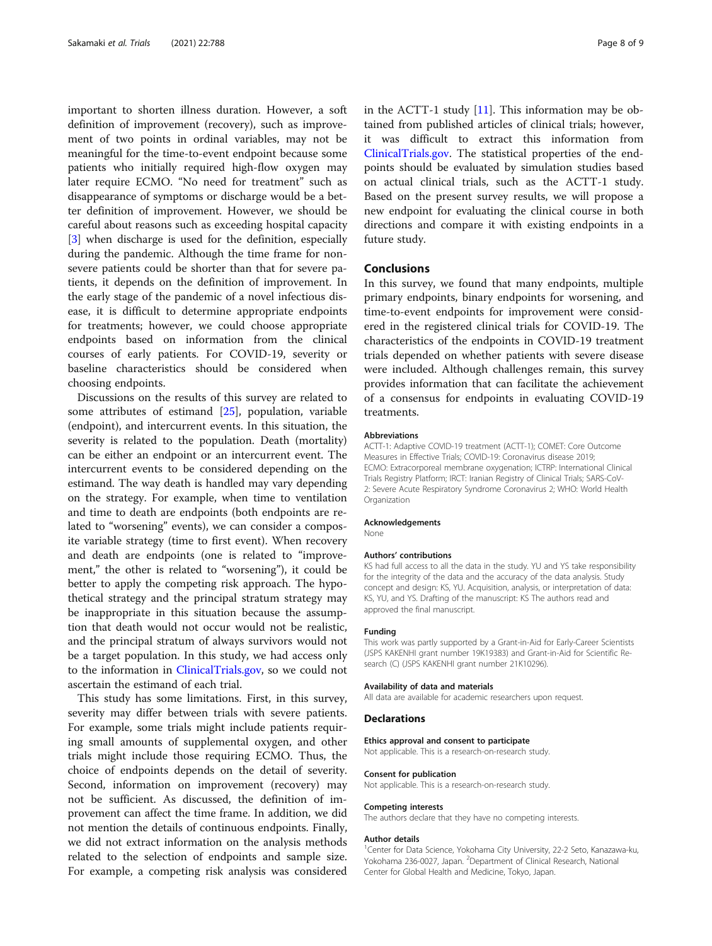important to shorten illness duration. However, a soft definition of improvement (recovery), such as improvement of two points in ordinal variables, may not be meaningful for the time-to-event endpoint because some patients who initially required high-flow oxygen may later require ECMO. "No need for treatment" such as disappearance of symptoms or discharge would be a better definition of improvement. However, we should be careful about reasons such as exceeding hospital capacity [[3\]](#page-8-0) when discharge is used for the definition, especially during the pandemic. Although the time frame for nonsevere patients could be shorter than that for severe patients, it depends on the definition of improvement. In the early stage of the pandemic of a novel infectious disease, it is difficult to determine appropriate endpoints for treatments; however, we could choose appropriate endpoints based on information from the clinical courses of early patients. For COVID-19, severity or baseline characteristics should be considered when choosing endpoints.

Discussions on the results of this survey are related to some attributes of estimand [[25\]](#page-8-0), population, variable (endpoint), and intercurrent events. In this situation, the severity is related to the population. Death (mortality) can be either an endpoint or an intercurrent event. The intercurrent events to be considered depending on the estimand. The way death is handled may vary depending on the strategy. For example, when time to ventilation and time to death are endpoints (both endpoints are related to "worsening" events), we can consider a composite variable strategy (time to first event). When recovery and death are endpoints (one is related to "improvement," the other is related to "worsening"), it could be better to apply the competing risk approach. The hypothetical strategy and the principal stratum strategy may be inappropriate in this situation because the assumption that death would not occur would not be realistic, and the principal stratum of always survivors would not be a target population. In this study, we had access only to the information in [ClinicalTrials.gov,](http://clinicaltrials.gov) so we could not ascertain the estimand of each trial.

This study has some limitations. First, in this survey, severity may differ between trials with severe patients. For example, some trials might include patients requiring small amounts of supplemental oxygen, and other trials might include those requiring ECMO. Thus, the choice of endpoints depends on the detail of severity. Second, information on improvement (recovery) may not be sufficient. As discussed, the definition of improvement can affect the time frame. In addition, we did not mention the details of continuous endpoints. Finally, we did not extract information on the analysis methods related to the selection of endpoints and sample size. For example, a competing risk analysis was considered in the ACTT-1 study  $[11]$  $[11]$ . This information may be obtained from published articles of clinical trials; however, it was difficult to extract this information from [ClinicalTrials.gov.](http://clinicaltrials.gov) The statistical properties of the endpoints should be evaluated by simulation studies based on actual clinical trials, such as the ACTT-1 study. Based on the present survey results, we will propose a new endpoint for evaluating the clinical course in both directions and compare it with existing endpoints in a future study.

## Conclusions

In this survey, we found that many endpoints, multiple primary endpoints, binary endpoints for worsening, and time-to-event endpoints for improvement were considered in the registered clinical trials for COVID-19. The characteristics of the endpoints in COVID-19 treatment trials depended on whether patients with severe disease were included. Although challenges remain, this survey provides information that can facilitate the achievement of a consensus for endpoints in evaluating COVID-19 treatments.

### Abbreviations

ACTT-1: Adaptive COVID-19 treatment (ACTT-1); COMET: Core Outcome Measures in Effective Trials; COVID-19: Coronavirus disease 2019; ECMO: Extracorporeal membrane oxygenation; ICTRP: International Clinical Trials Registry Platform; IRCT: Iranian Registry of Clinical Trials; SARS-CoV-2: Severe Acute Respiratory Syndrome Coronavirus 2; WHO: World Health Organization

#### Acknowledgements

None

## Authors' contributions

KS had full access to all the data in the study. YU and YS take responsibility for the integrity of the data and the accuracy of the data analysis. Study concept and design: KS, YU. Acquisition, analysis, or interpretation of data: KS, YU, and YS. Drafting of the manuscript: KS The authors read and approved the final manuscript.

#### Funding

This work was partly supported by a Grant-in-Aid for Early-Career Scientists (JSPS KAKENHI grant number 19K19383) and Grant-in-Aid for Scientific Research (C) (JSPS KAKENHI grant number 21K10296).

#### Availability of data and materials

All data are available for academic researchers upon request.

#### Declarations

#### Ethics approval and consent to participate

Not applicable. This is a research-on-research study.

#### Consent for publication

Not applicable. This is a research-on-research study.

#### Competing interests

The authors declare that they have no competing interests.

#### Author details

<sup>1</sup> Center for Data Science, Yokohama City University, 22-2 Seto, Kanazawa-ku, Yokohama 236-0027, Japan. <sup>2</sup>Department of Clinical Research, National Center for Global Health and Medicine, Tokyo, Japan.